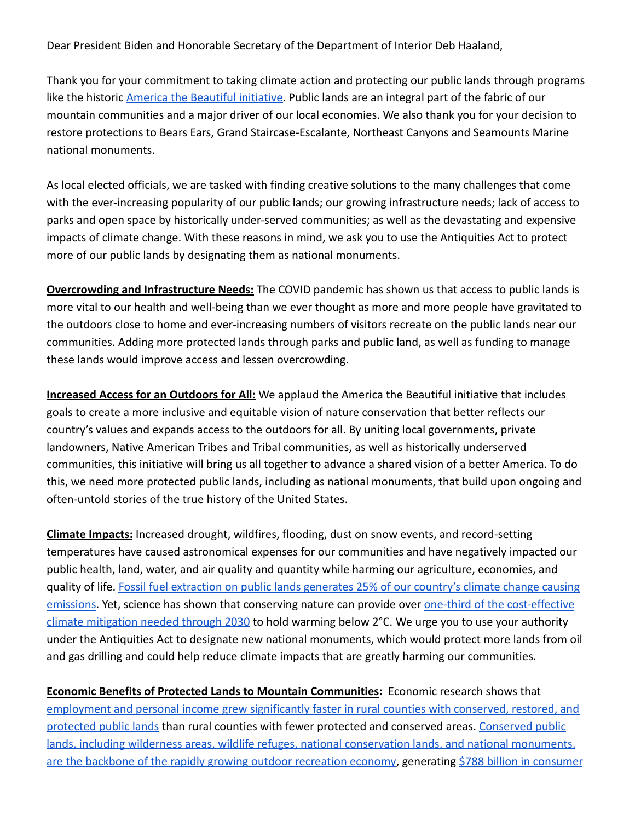Dear President Biden and Honorable Secretary of the Department of Interior Deb Haaland,

Thank you for your commitment to taking climate action and protecting our public lands through programs like the historic [America the Beautiful initiative.](https://www.doi.gov/sites/doi.gov/files/report-conserving-and-restoring-america-the-beautiful-2021.pdf) Public lands are an integral part of the fabric of our mountain communities and a major driver of our local economies. We also thank you for your decision to restore protections to Bears Ears, Grand Staircase-Escalante, Northeast Canyons and Seamounts Marine national monuments.

As local elected officials, we are tasked with finding creative solutions to the many challenges that come with the ever-increasing popularity of our public lands; our growing infrastructure needs; lack of access to parks and open space by historically under-served communities; as well as the devastating and expensive impacts of climate change. With these reasons in mind, we ask you to use the Antiquities Act to protect more of our public lands by designating them as national monuments.

**Overcrowding and Infrastructure Needs:** The COVID pandemic has shown us that access to public lands is more vital to our health and well-being than we ever thought as more and more people have gravitated to the outdoors close to home and ever-increasing numbers of visitors recreate on the public lands near our communities. Adding more protected lands through parks and public land, as well as funding to manage these lands would improve access and lessen overcrowding.

**Increased Access for an Outdoors for All:** We applaud the America the Beautiful initiative that includes goals to create a more inclusive and equitable vision of nature conservation that better reflects our country's values and expands access to the outdoors for all. By uniting local governments, private landowners, Native American Tribes and Tribal communities, as well as historically underserved communities, this initiative will bring us all together to advance a shared vision of a better America. To do this, we need more protected public lands, including as national monuments, that build upon ongoing and often-untold stories of the true history of the United States.

**Climate Impacts:** Increased drought, wildfires, flooding, dust on snow events, and record-setting temperatures have caused astronomical expenses for our communities and have negatively impacted our public health, land, water, and air quality and quantity while harming our agriculture, economies, and quality of life. Fossil fuel extraction on public [lands generates 25% of our country's climate change causing](https://pubs.usgs.gov/sir/2018/5131/sir20185131.pdf) [emissions.](https://pubs.usgs.gov/sir/2018/5131/sir20185131.pdf) Yet, science has shown that conserving nature can provide over [one-third of the cost-effective](https://www.pnas.org/content/114/44/11645) [climate mitigation needed through 2030](https://www.pnas.org/content/114/44/11645) to hold warming below 2°C. We urge you to use your authority under the Antiquities Act to designate new national monuments, which would protect more lands from oil and gas drilling and could help reduce climate impacts that are greatly harming our communities.

**Economic Benefits of Protected Lands to Mountain Communities:** Economic research shows that [employment and personal income grew significantly faster in rural counties with conserved, restored, and](https://headwaterseconomics.org/public-lands/federal-lands-performance/) [protected public lands](https://headwaterseconomics.org/public-lands/federal-lands-performance/) than rural counties with fewer protected and conserved areas. [Conserved public](https://www.wyofile.com/wilderness-economics/) [lands, including wilderness areas, wildlife refuges, national conservation lands, and national monuments,](https://www.wyofile.com/wilderness-economics/) [are the backbone of the rapidly growing outdoor recreation economy](https://www.wyofile.com/wilderness-economics/), generating [\\$788 billion in consumer](https://www.bea.gov/data/special-topics/outdoor-recreation)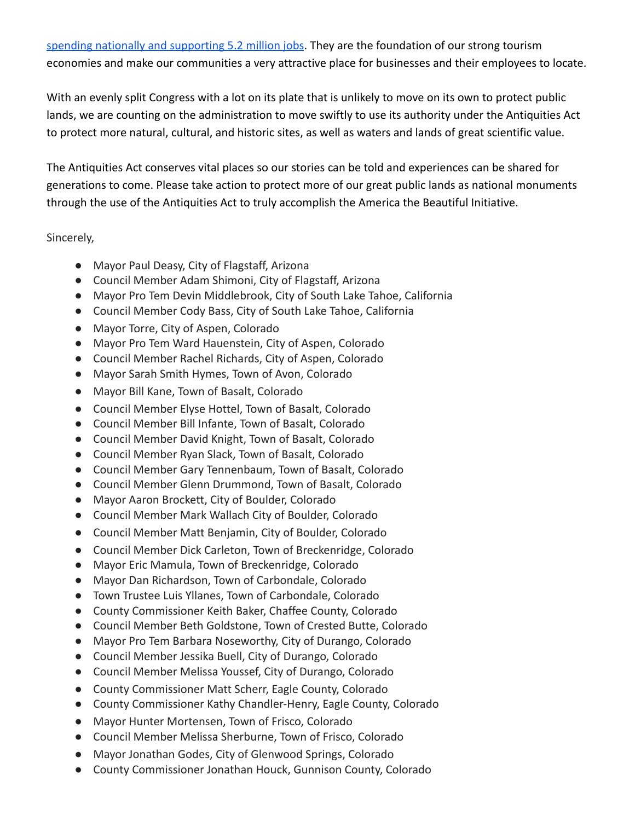[spending nationally and supporting 5.2 million jobs](https://www.bea.gov/data/special-topics/outdoor-recreation). They are the foundation of our strong tourism economies and make our communities a very attractive place for businesses and their employees to locate.

With an evenly split Congress with a lot on its plate that is unlikely to move on its own to protect public lands, we are counting on the administration to move swiftly to use its authority under the Antiquities Act to protect more natural, cultural, and historic sites, as well as waters and lands of great scientific value.

The Antiquities Act conserves vital places so our stories can be told and experiences can be shared for generations to come. Please take action to protect more of our great public lands as national monuments through the use of the Antiquities Act to truly accomplish the America the Beautiful Initiative.

## Sincerely,

- Mayor Paul Deasy, City of Flagstaff, Arizona
- Council Member Adam Shimoni, City of Flagstaff, Arizona
- Mayor Pro Tem Devin Middlebrook, City of South Lake Tahoe, California
- Council Member Cody Bass, City of South Lake Tahoe, California
- Mayor Torre, City of Aspen, Colorado
- Mayor Pro Tem Ward Hauenstein, City of Aspen, Colorado
- Council Member Rachel Richards, City of Aspen, Colorado
- Mayor Sarah Smith Hymes, Town of Avon, Colorado
- Mayor Bill Kane, Town of Basalt, Colorado
- Council Member Elyse Hottel, Town of Basalt, Colorado
- Council Member Bill Infante, Town of Basalt, Colorado
- Council Member David Knight, Town of Basalt, Colorado
- Council Member Ryan Slack, Town of Basalt, Colorado
- Council Member Gary Tennenbaum, Town of Basalt, Colorado
- Council Member Glenn Drummond, Town of Basalt, Colorado
- Mayor Aaron Brockett, City of Boulder, Colorado
- Council Member Mark Wallach City of Boulder, Colorado
- Council Member Matt Benjamin, City of Boulder, Colorado
- Council Member Dick Carleton, Town of Breckenridge, Colorado
- Mayor Eric Mamula, Town of Breckenridge, Colorado
- Mayor Dan Richardson, Town of Carbondale, Colorado
- Town Trustee Luis Yllanes, Town of Carbondale, Colorado
- County Commissioner Keith Baker, Chaffee County, Colorado
- Council Member Beth Goldstone, Town of Crested Butte, Colorado
- Mayor Pro Tem Barbara Noseworthy, City of Durango, Colorado
- Council Member Jessika Buell, City of Durango, Colorado
- Council Member Melissa Youssef, City of Durango, Colorado
- County Commissioner Matt Scherr, Eagle County, Colorado
- County Commissioner Kathy Chandler-Henry, Eagle County, Colorado
- Mayor Hunter Mortensen, Town of Frisco, Colorado
- Council Member Melissa Sherburne, Town of Frisco, Colorado
- Mayor Jonathan Godes, City of Glenwood Springs, Colorado
- County Commissioner Jonathan Houck, Gunnison County, Colorado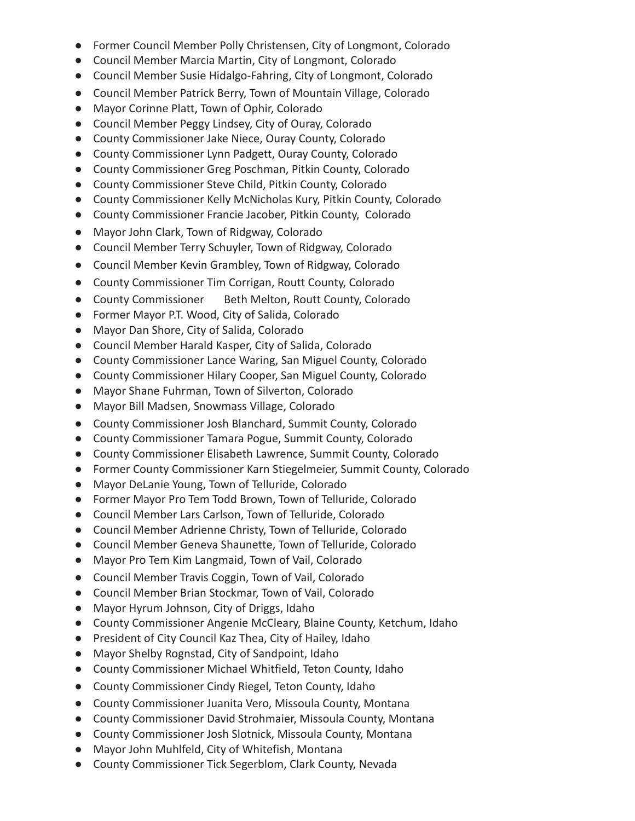- Former Council Member Polly Christensen, City of Longmont, Colorado
- Council Member Marcia Martin, City of Longmont, Colorado
- Council Member Susie Hidalgo-Fahring, City of Longmont, Colorado
- Council Member Patrick Berry, Town of Mountain Village, Colorado
- Mayor Corinne Platt, Town of Ophir, Colorado
- Council Member Peggy Lindsey, City of Ouray, Colorado
- County Commissioner Jake Niece, Ouray County, Colorado
- County Commissioner Lynn Padgett, Ouray County, Colorado
- County Commissioner Greg Poschman, Pitkin County, Colorado
- County Commissioner Steve Child, Pitkin County, Colorado
- County Commissioner Kelly McNicholas Kury, Pitkin County, Colorado
- County Commissioner Francie Jacober, Pitkin County, Colorado
- Mayor John Clark, Town of Ridgway, Colorado
- Council Member Terry Schuyler, Town of Ridgway, Colorado
- Council Member Kevin Grambley, Town of Ridgway, Colorado
- County Commissioner Tim Corrigan, Routt County, Colorado
- County Commissioner Beth Melton, Routt County, Colorado
- Former Mayor P.T. Wood, City of Salida, Colorado
- Mayor Dan Shore, City of Salida, Colorado
- Council Member Harald Kasper, City of Salida, Colorado
- County Commissioner Lance Waring, San Miguel County, Colorado
- County Commissioner Hilary Cooper, San Miguel County, Colorado
- Mayor Shane Fuhrman, Town of Silverton, Colorado
- Mayor Bill Madsen, Snowmass Village, Colorado
- County Commissioner Josh Blanchard, Summit County, Colorado
- County Commissioner Tamara Pogue, Summit County, Colorado
- County Commissioner Elisabeth Lawrence, Summit County, Colorado
- Former County Commissioner Karn Stiegelmeier, Summit County, Colorado
- Mayor DeLanie Young, Town of Telluride, Colorado
- Former Mayor Pro Tem Todd Brown, Town of Telluride, Colorado
- Council Member Lars Carlson, Town of Telluride, Colorado
- Council Member Adrienne Christy, Town of Telluride, Colorado
- Council Member Geneva Shaunette, Town of Telluride, Colorado
- Mayor Pro Tem Kim Langmaid, Town of Vail, Colorado
- Council Member Travis Coggin, Town of Vail, Colorado
- Council Member Brian Stockmar, Town of Vail, Colorado
- Mayor Hyrum Johnson, City of Driggs, Idaho
- County Commissioner Angenie McCleary, Blaine County, Ketchum, Idaho
- President of City Council Kaz Thea, City of Hailey, Idaho
- Mayor Shelby Rognstad, City of Sandpoint, Idaho
- County Commissioner Michael Whitfield, Teton County, Idaho
- County Commissioner Cindy Riegel, Teton County, Idaho
- County Commissioner Juanita Vero, Missoula County, Montana
- County Commissioner David Strohmaier, Missoula County, Montana
- County Commissioner Josh Slotnick, Missoula County, Montana
- Mayor John Muhlfeld, City of Whitefish, Montana
- County Commissioner Tick Segerblom, Clark County, Nevada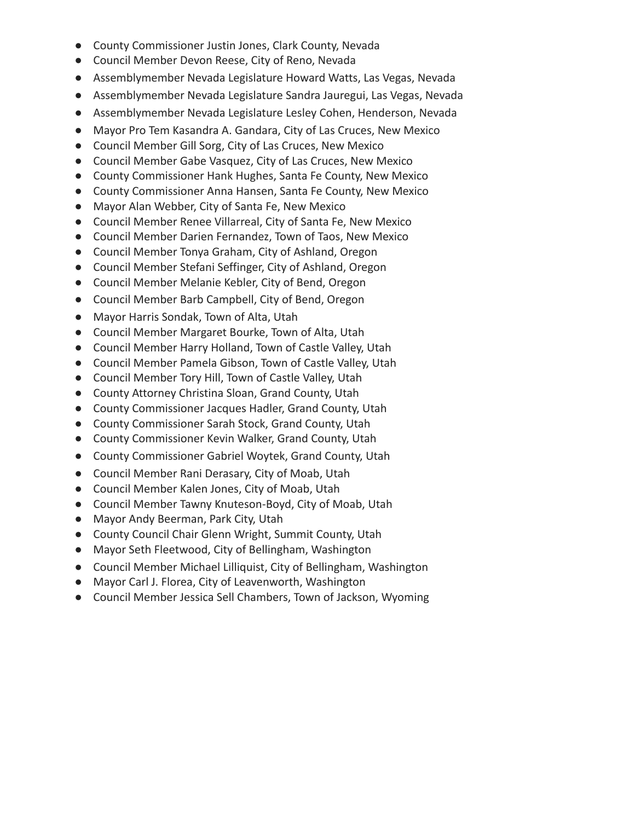- County Commissioner Justin Jones, Clark County, Nevada
- Council Member Devon Reese, City of Reno, Nevada
- Assemblymember Nevada Legislature Howard Watts, Las Vegas, Nevada
- Assemblymember Nevada Legislature Sandra Jauregui, Las Vegas, Nevada
- Assemblymember Nevada Legislature Lesley Cohen, Henderson, Nevada
- Mayor Pro Tem Kasandra A. Gandara, City of Las Cruces, New Mexico
- Council Member Gill Sorg, City of Las Cruces, New Mexico
- Council Member Gabe Vasquez, City of Las Cruces, New Mexico
- County Commissioner Hank Hughes, Santa Fe County, New Mexico
- County Commissioner Anna Hansen, Santa Fe County, New Mexico
- Mayor Alan Webber, City of Santa Fe, New Mexico
- Council Member Renee Villarreal, City of Santa Fe, New Mexico
- Council Member Darien Fernandez, Town of Taos, New Mexico
- Council Member Tonya Graham, City of Ashland, Oregon
- Council Member Stefani Seffinger, City of Ashland, Oregon
- Council Member Melanie Kebler, City of Bend, Oregon
- Council Member Barb Campbell, City of Bend, Oregon
- Mayor Harris Sondak, Town of Alta, Utah
- Council Member Margaret Bourke, Town of Alta, Utah
- Council Member Harry Holland, Town of Castle Valley, Utah
- Council Member Pamela Gibson, Town of Castle Valley, Utah
- Council Member Tory Hill, Town of Castle Valley, Utah
- County Attorney Christina Sloan, Grand County, Utah
- County Commissioner Jacques Hadler, Grand County, Utah
- County Commissioner Sarah Stock, Grand County, Utah
- County Commissioner Kevin Walker, Grand County, Utah
- County Commissioner Gabriel Woytek, Grand County, Utah
- Council Member Rani Derasary, City of Moab, Utah
- Council Member Kalen Jones, City of Moab, Utah
- Council Member Tawny Knuteson-Boyd, City of Moab, Utah
- Mayor Andy Beerman, Park City, Utah
- County Council Chair Glenn Wright, Summit County, Utah
- Mayor Seth Fleetwood, City of Bellingham, Washington
- Council Member Michael Lilliquist, City of Bellingham, Washington
- Mayor Carl J. Florea, City of Leavenworth, Washington
- Council Member Jessica Sell Chambers, Town of Jackson, Wyoming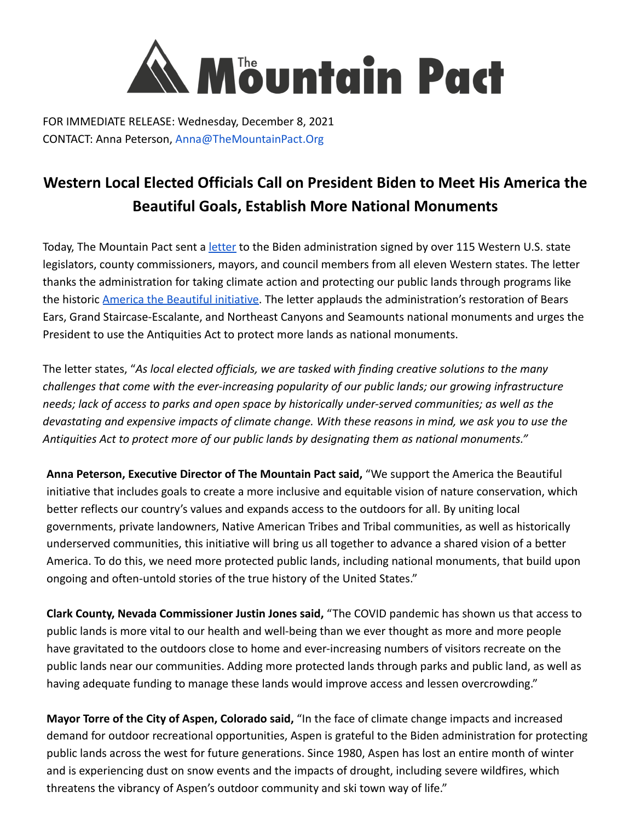

FOR IMMEDIATE RELEASE: Wednesday, December 8, 2021 CONTACT: Anna Peterson, Anna@TheMountainPact.Org

## **Western Local Elected Officials Call on President Biden to Meet His America the Beautiful Goals, Establish More National Monuments**

Today, The Mountain Pact sent a [letter](https://www.themountainpact.org/national-monuments-letter-2021) to the Biden administration signed by over 115 Western U.S. state legislators, county commissioners, mayors, and council members from all eleven Western states. The letter thanks the administration for taking climate action and protecting our public lands through programs like the historic **America the Beautiful initiative**. The letter applauds the administration's restoration of Bears Ears, Grand Staircase-Escalante, and Northeast Canyons and Seamounts national monuments and urges the President to use the Antiquities Act to protect more lands as national monuments.

The letter states, "*As local elected officials, we are tasked with finding creative solutions to the many challenges that come with the ever-increasing popularity of our public lands; our growing infrastructure needs; lack of access to parks and open space by historically under-served communities; as well as the devastating and expensive impacts of climate change. With these reasons in mind, we ask you to use the Antiquities Act to protect more of our public lands by designating them as national monuments."*

**Anna Peterson, Executive Director of The Mountain Pact said,** "We support the America the Beautiful initiative that includes goals to create a more inclusive and equitable vision of nature conservation, which better reflects our country's values and expands access to the outdoors for all. By uniting local governments, private landowners, Native American Tribes and Tribal communities, as well as historically underserved communities, this initiative will bring us all together to advance a shared vision of a better America. To do this, we need more protected public lands, including national monuments, that build upon ongoing and often-untold stories of the true history of the United States."

**Clark County, Nevada Commissioner Justin Jones said,** "The COVID pandemic has shown us that access to public lands is more vital to our health and well-being than we ever thought as more and more people have gravitated to the outdoors close to home and ever-increasing numbers of visitors recreate on the public lands near our communities. Adding more protected lands through parks and public land, as well as having adequate funding to manage these lands would improve access and lessen overcrowding."

**Mayor Torre of the City of Aspen, Colorado said,** "In the face of climate change impacts and increased demand for outdoor recreational opportunities, Aspen is grateful to the Biden administration for protecting public lands across the west for future generations. Since 1980, Aspen has lost an entire month of winter and is experiencing dust on snow events and the impacts of drought, including severe wildfires, which threatens the vibrancy of Aspen's outdoor community and ski town way of life."